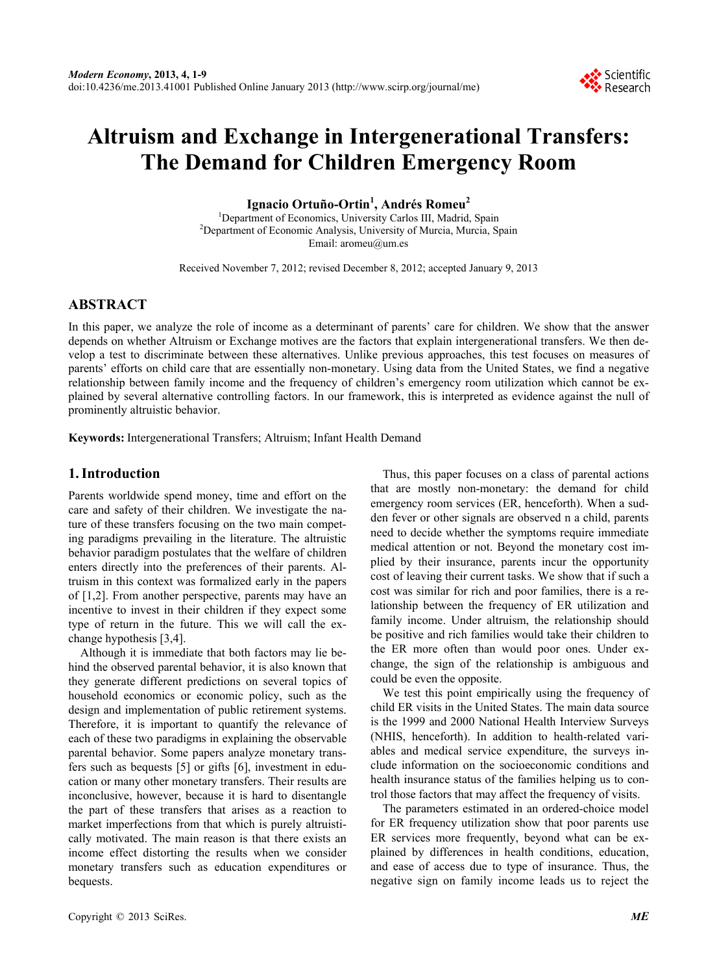# **Altruism and Exchange in Intergenerational Transfers: The Demand for Children Emergency Room**

**Ignacio Ortuño-Ortin1 , Andrés Romeu<sup>2</sup>**

<sup>1</sup>Department of Economics, University Carlos III, Madrid, Spain <sup>2</sup>Department of Economic Applying University of Murgie Murgie, Sp <sup>2</sup>Department of Economic Analysis, University of Murcia, Murcia, Spain Email: aromeu@um.es

Received November 7, 2012; revised December 8, 2012; accepted January 9, 2013

# **ABSTRACT**

In this paper, we analyze the role of income as a determinant of parents' care for children. We show that the answer depends on whether Altruism or Exchange motives are the factors that explain intergenerational transfers. We then develop a test to discriminate between these alternatives. Unlike previous approaches, this test focuses on measures of parents' efforts on child care that are essentially non-monetary. Using data from the United States, we find a negative relationship between family income and the frequency of children's emergency room utilization which cannot be explained by several alternative controlling factors. In our framework, this is interpreted as evidence against the null of prominently altruistic behavior.

**Keywords:** Intergenerational Transfers; Altruism; Infant Health Demand

## **1. Introduction**

Parents worldwide spend money, time and effort on the care and safety of their children. We investigate the nature of these transfers focusing on the two main competing paradigms prevailing in the literature. The altruistic behavior paradigm postulates that the welfare of children enters directly into the preferences of their parents. Altruism in this context was formalized early in the papers of [1,2]. From another perspective, parents may have an incentive to invest in their children if they expect some type of return in the future. This we will call the exchange hypothesis [3,4].

Although it is immediate that both factors may lie behind the observed parental behavior, it is also known that they generate different predictions on several topics of household economics or economic policy, such as the design and implementation of public retirement systems. Therefore, it is important to quantify the relevance of each of these two paradigms in explaining the observable parental behavior. Some papers analyze monetary transfers such as bequests [5] or gifts [6], investment in education or many other monetary transfers. Their results are inconclusive, however, because it is hard to disentangle the part of these transfers that arises as a reaction to market imperfections from that which is purely altruistically motivated. The main reason is that there exists an income effect distorting the results when we consider monetary transfers such as education expenditures or bequests.

Thus, this paper focuses on a class of parental actions that are mostly non-monetary: the demand for child emergency room services (ER, henceforth). When a sudden fever or other signals are observed n a child, parents need to decide whether the symptoms require immediate medical attention or not. Beyond the monetary cost implied by their insurance, parents incur the opportunity cost of leaving their current tasks. We show that if such a cost was similar for rich and poor families, there is a relationship between the frequency of ER utilization and family income. Under altruism, the relationship should be positive and rich families would take their children to the ER more often than would poor ones. Under exchange, the sign of the relationship is ambiguous and could be even the opposite.

We test this point empirically using the frequency of child ER visits in the United States. The main data source is the 1999 and 2000 National Health Interview Surveys (NHIS, henceforth). In addition to health-related variables and medical service expenditure, the surveys include information on the socioeconomic conditions and health insurance status of the families helping us to control those factors that may affect the frequency of visits.

The parameters estimated in an ordered-choice model for ER frequency utilization show that poor parents use ER services more frequently, beyond what can be explained by differences in health conditions, education, and ease of access due to type of insurance. Thus, the negative sign on family income leads us to reject the

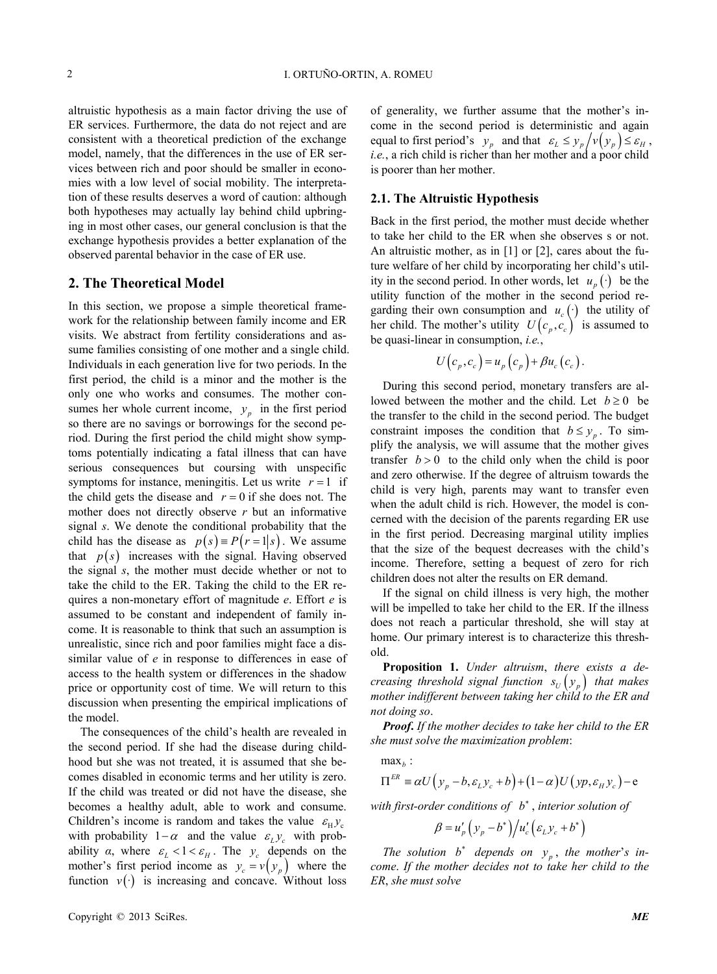altruistic hypothesis as a main factor driving the use of ER services. Furthermore, the data do not reject and are consistent with a theoretical prediction of the exchange model, namely, that the differences in the use of ER services between rich and poor should be smaller in economies with a low level of social mobility. The interpretation of these results deserves a word of caution: although both hypotheses may actually lay behind child upbringing in most other cases, our general conclusion is that the exchange hypothesis provides a better explanation of the observed parental behavior in the case of ER use.

#### **2. The Theoretical Model**

In this section, we propose a simple theoretical framework for the relationship between family income and ER visits. We abstract from fertility considerations and assume families consisting of one mother and a single child. Individuals in each generation live for two periods. In the first period, the child is a minor and the mother is the only one who works and consumes. The mother consumes her whole current income,  $y_p$  in the first period so there are no savings or borrowings for the second period. During the first period the child might show symptoms potentially indicating a fatal illness that can have serious consequences but coursing with unspecific symptoms for instance, meningitis. Let us write  $r = 1$  if the child gets the disease and  $r = 0$  if she does not. The mother does not directly observe *r* but an informative signal *s*. We denote the conditional probability that the child has the disease as  $p(s) = P(r = 1|s)$ . We assume that  $p(s)$  increases with the signal. Having observed the signal *s*, the mother must decide whether or not to take the child to the ER. Taking the child to the ER requires a non-monetary effort of magnitude *e*. Effort *e* is assumed to be constant and independent of family income. It is reasonable to think that such an assumption is unrealistic, since rich and poor families might face a dissimilar value of *e* in response to differences in ease of access to the health system or differences in the shadow price or opportunity cost of time. We will return to this discussion when presenting the empirical implications of the model.

The consequences of the child's health are revealed in the second period. If she had the disease during childhood but she was not treated, it is assumed that she becomes disabled in economic terms and her utility is zero. If the child was treated or did not have the disease, she becomes a healthy adult, able to work and consume. Children's income is random and takes the value  $\varepsilon_{\rm H} y_{\rm c}$ with probability  $1 - \alpha$  and the value  $\varepsilon_L y_c$  with probability *α*, where  $\varepsilon_L < 1 < \varepsilon_H$ . The  $y_c$  depends on the mother's first period income as  $y_c = v(y_p)$  where the function  $v(\cdot)$  is increasing and concave. Without loss of generality, we further assume that the mother's income in the second period is deterministic and again equal to first period's  $y_p$  and that  $\varepsilon_L \le y_p / v(y_p) \le \varepsilon_H$ , *i.e.*, a rich child is richer than her mother and a poor child is poorer than her mother.

## **2.1. The Altruistic Hypothesis**

Back in the first period, the mother must decide whether to take her child to the ER when she observes s or not. An altruistic mother, as in [1] or [2], cares about the future welfare of her child by incorporating her child's utility in the second period. In other words, let  $u_p(\cdot)$  be the her child. The mother's utility  $U(c_p, c_c)$  is assumed to utility function of the mother in the second period regarding their own consumption and  $u_c(\cdot)$  the utility of be quasi-linear in consumption, *i.e.*,

$$
U(c_p, c_c) = u_p(c_p) + \beta u_c(c_c).
$$

During this second period, monetary transfers are allowed between the mother and the child. Let  $b \ge 0$  be the transfer to the child in the second period. The budget constraint imposes the condition that  $b \leq y_p$ . To simplify the analysis, we will assume that the mother gives transfer  $b > 0$  to the child only when the child is poor and zero otherwise. If the degree of altruism towards the child is very high, parents may want to transfer even when the adult child is rich. However, the model is concerned with the decision of the parents regarding ER use in the first period. Decreasing marginal utility implies that the size of the bequest decreases with the child's income. Therefore, setting a bequest of zero for rich children does not alter the results on ER demand.

If the signal on child illness is very high, the mother will be impelled to take her child to the ER. If the illness does not reach a particular threshold, she will stay at home. Our primary interest is to characterize this threshold.

**Proposition 1.** *Under altruism*, *there exists a decreasing threshold signal function*  $s_U(y_p)$  *that makes mother indifferent between taking her child to the ER and not doing so*.

*Proof***.** *If the mother decides to take her child to the ER she must solve the maximization problem*:

 $max<sub>b</sub>$ :

$$
\Pi^{ER} \equiv \alpha U\big(\,y_p - b, \varepsilon_L y_c + b\big) + (1 - \alpha)U\big(\,yp, \varepsilon_H y_c\,\big) - e
$$

*with first-order conditions of b* , *interior solution of*

$$
\beta = u'_p \left( y_p - b^* \right) \middle/ u'_c \left( \varepsilon_L y_c + b^* \right)
$$

*The solution*  $b^*$  depends on  $y_p$ , the mother's in*come*. *If the mother decides not to take her child to the ER*, *she must solve*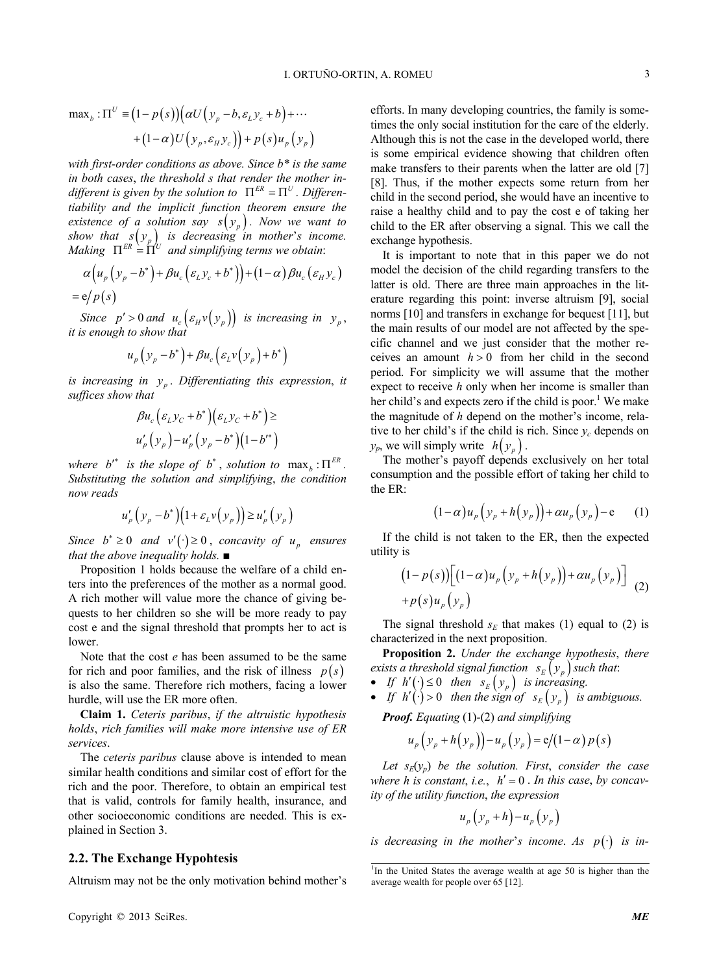$$
\max_b : \Pi^U \equiv (1 - p(s)) (\alpha U(y_p - b, \varepsilon_L y_c + b) + \cdots + (1 - \alpha) U(y_p, \varepsilon_H y_c)) + p(s) u_p(y_p)
$$

*with first-order conditions as above. Since b\* is the same in both cases*, *the threshold s that render the mother indifferent is given by the solution to*  $\Pi^{ER} = \Pi^U$ . *Differentiability and the implicit function theorem ensure the existence of a solution say*  $s(y_p)$ . Now we want to *show that*  $s(y_p)$  *is decreasing in mother's income. Making*  $\Pi^{ER} = \Pi^{U}$  *and simplifying terms we obtain:* 

$$
\alpha (u_p (y_p - b^*) + \beta u_c (\varepsilon_L y_c + b^*)) + (1 - \alpha) \beta u_c (\varepsilon_H y_c)
$$
  
= e/p(s)

*Since*  $p' > 0$  *and*  $u_c \left( \varepsilon_H v(y_p) \right)$  *is increasing in*  $y_p$ , *it is enough to show that* 

$$
u_p\left(y_p-b^*\right)+\beta u_c\left(\varepsilon_L v\left(y_p\right)+b^*\right)
$$

*is increasing in <sup>p</sup> y* . *Differentiating this expression*, *it suffices show that* 

$$
\beta u_c \Big( \varepsilon_L y_C + b^* \Big) \Big( \varepsilon_L y_C + b^* \Big) \ge
$$
  
 
$$
u'_p \Big( y_p \Big) - u'_p \Big( y_p - b^* \Big) \Big( 1 - b'^* \Big)
$$

*where*  $b^*$  *is the slope of*  $b^*$ , *solution to*  $\max_b : \Pi^{ER}$ . *Substituting the solution and simplifying*, *the condition now reads*

$$
u'_{p}\left(y_{p}-b^{*}\right)\left(1+\varepsilon_{L}v\left(y_{p}\right)\right)\geq u'_{p}\left(y_{p}\right)
$$

*Since*  $b^* \geq 0$  *and*  $v'(\cdot) \geq 0$ , *concavity of*  $u_p$  *ensures that the above inequality holds.* ■

Proposition 1 holds because the welfare of a child enters into the preferences of the mother as a normal good. A rich mother will value more the chance of giving bequests to her children so she will be more ready to pay cost e and the signal threshold that prompts her to act is lower.

Note that the cost *e* has been assumed to be the same for rich and poor families, and the risk of illness  $p(s)$ is also the same. Therefore rich mothers, facing a lower hurdle, will use the ER more often.

**Claim 1.** *Ceteris paribus*, *if the altruistic hypothesis holds*, *rich families will make more intensive use of ER services*.

The *ceteris paribus* clause above is intended to mean similar health conditions and similar cost of effort for the rich and the poor. Therefore, to obtain an empirical test that is valid, controls for family health, insurance, and other socioeconomic conditions are needed. This is explained in Section 3.

#### **2.2. The Exchange Hypohtesis**

Altruism may not be the only motivation behind mother's

efforts. In many developing countries, the family is sometimes the only social institution for the care of the elderly. Although this is not the case in the developed world, there is some empirical evidence showing that children often make transfers to their parents when the latter are old [7] [8]. Thus, if the mother expects some return from her child in the second period, she would have an incentive to raise a healthy child and to pay the cost e of taking her child to the ER after observing a signal. This we call the exchange hypothesis. It is important to note that in this paper we do not

model the decision of the child regarding transfers to the latter is old. There are three main approaches in the literature regarding this point: inverse altruism [9], social norms [10] and transfers in exchange for bequest [11], but the main results of our model are not affected by the specific channel and we just consider that the mother receives an amount  $h > 0$  from her child in the second period. For simplicity we will assume that the mother expect to receive *h* only when her income is smaller than her child's and expects zero if the child is poor.<sup>1</sup> We make the magnitude of *h* depend on the mother's income, relative to her child's if the child is rich. Since  $y_c$  depends on  $y_p$ , we will simply write  $h(y_p)$ .

The mother's payoff depends exclusively on her total consumption and the possible effort of taking her child to the ER:

$$
(1-\alpha)u_p\left(y_p+h\left(y_p\right)\right)+\alpha u_p\left(y_p\right)-e\qquad(1)
$$

If the child is not taken to the ER, then the expected utility is

$$
(1-p(s))\left[(1-\alpha)u_p\left(y_p+h(y_p)\right)+\alpha u_p\left(y_p\right)\right] +p(s)u_p\left(y_p\right)
$$
 (2)

The signal threshold  $s_E$  that makes (1) equal to (2) is characterized in the next proposition.

**Proposition 2.** *Under the exchange hypothesis*, *there exists a threshold signal function*  $s_E(y_p)$  *such that*:

- If  $h'(\cdot) \leq 0$  then  $s_E(y_p)$  is increasing.
- *If*  $h'(\cdot) > 0$  then the sign of  $s_E(y_p)$  is ambiguous.

*Proof. Equating* (1)*-*(2) *and simplifying* 

$$
u_p\left(y_p + h\left(y_p\right)\right) - u_p\left(y_p\right) = \mathrm{e}/\left(1-\alpha\right)p\left(s\right)
$$

Let  $s_E(y_p)$  be the solution. First, consider the case where *h* is constant, *i.e.*,  $h' = 0$ . In this case, by concav*ity of the utility function*, *the expression* 

$$
u_p\left(\mathbf{y}_p + h\right) - u_p\left(\mathbf{y}_p\right)
$$

*is decreasing in the mother's income. As*  $p(\cdot)$  *is in-*

<sup>&</sup>lt;sup>1</sup>In the United States the average wealth at age 50 is higher than the average wealth for people over 65 [12].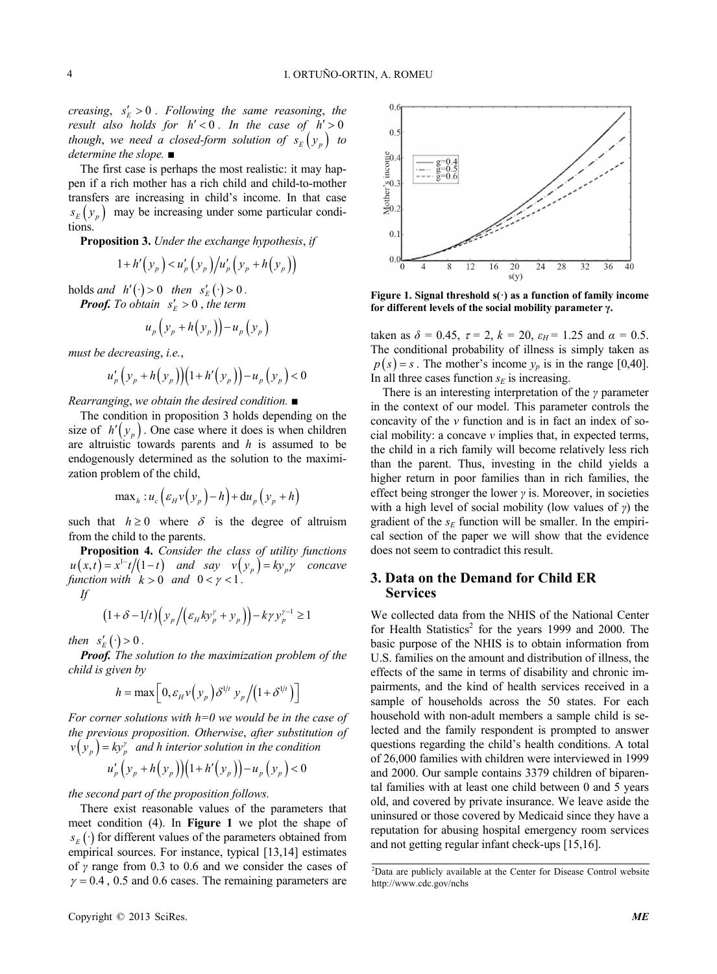*creasing,*  $s_E' > 0$ . Following the same reasoning, the *result also holds for*  $h' < 0$ *. In the case of*  $h' > 0$ *though, we need a closed-form solution of*  $s_E(y_p)$  *to determine the slope.* ■

The first case is perhaps the most realistic: it may happen if a rich mother has a rich child and child-to-mother transfers are increasing in child's income. In that case  $s_E(y_p)$  may be increasing under some particular conditions.

**Proposition 3.** *Under the exchange hypothesis*, *if* 

$$
1 + h'\left(y_{p}\right) < u'_{p}\left(y_{p}\right) / u'_{p}\left(y_{p} + h\left(y_{p}\right)\right)
$$

 $\text{holds and } h'(\cdot) > 0 \quad \text{then } s'_E(\cdot) > 0$ *.*

**Proof.** To obtain 
$$
s'_E > 0
$$
, the term

$$
u_p\left(\mathcal{Y}_p + h\left(\mathcal{Y}_p\right)\right) - u_p\left(\mathcal{Y}_p\right)
$$

*must be decreasing*, *i.e.*,

$$
u'_{p}\left(y_{p}+h(y_{p})\right)\left(1+h'\left(y_{p}\right)\right)-u_{p}\left(y_{p}\right)<0
$$

*Rearranging*, *we obtain the desired condition.* ■

size of  $h'(y_p)$ . One case where it does is when children The condition in proposition 3 holds depending on the are altruistic towards parents and *h* is assumed to be endogenously determined as the solution to the maximization problem of the child,

$$
\max_{h} : u_c \left( \varepsilon_H v \left( y_p \right) - h \right) + \mathrm{d} u_p \left( y_p + h \right)
$$

such that  $h \geq 0$  where  $\delta$  is the degree of altruism from the child to the parents.

**Proposition 4.** *Consider the class of utility functions*   $u(x,t) = x^{1-t}/(1-t)$  and say  $v(y_p) = ky_p \gamma$  concave *function with*  $k > 0$  *and*  $0 < y < 1$ .

*If* 

$$
(1+\delta-1/t)\Big(y_p/(\varepsilon_H k y_p^{\gamma}+y_p)\Big)-k \gamma y_p^{\gamma-1}\geq 1
$$

*then*  $s'_E(\cdot) > 0$ .

*Proof. The solution to the maximization problem of the child is given by*

$$
h = \max\left[0, \varepsilon_H v\left(\mathcal{Y}_p\right)\delta^{1/t} \mathcal{Y}_p\big/\big(1+\delta^{1/t}\big)\right]
$$

*For corner solutions with h=0 we would be in the case of the previous proposition. Otherwise*, *after substitution of*   $p(y_p) = ky_p^{\gamma}$  *and h interior solution in the condition* 

$$
u'_{p} \left(y_{p} + h(y_{p})\right) \left(1 + h'(y_{p})\right) - u_{p} \left(y_{p}\right) < 0
$$

*the second part of the proposition follows.*



**Figure 1. Signal threshold s(·) as a function of family income for different levels of the social mobility parameter γ.**

taken as  $\delta = 0.45$ ,  $\tau = 2$ ,  $k = 20$ ,  $\varepsilon_H = 1.25$  and  $\alpha = 0.5$ . The conditional probability of illness is simply taken as  $p(s) = s$ . The mother's income  $y_p$  is in the range [0,40]. In all three cases function  $s_F$  is increasing.

There is an interesting interpretation of the *γ* parameter in the context of our model. This parameter controls the concavity of the *v* function and is in fact an index of social mobility: a concave *v* implies that, in expected terms, the child in a rich family will become relatively less rich than the parent. Thus, investing in the child yields a higher return in poor families than in rich families, the effect being stronger the lower *γ* is. Moreover, in societies with a high level of social mobility (low values of *γ*) the gradient of the  $s_E$  function will be smaller. In the empirical section of the paper we will show that the evidence does not seem to contradict this result.

## **3. Data on the Demand for Child ER Services**

We collected data from the NHIS of the National Center for Health Statistics<sup>2</sup> for the years 1999 and 2000. The basic purpose of the NHIS is to obtain information from U.S. families on the amount and distribution of illness, the effects of the same in terms of disability and chronic impairments, and the kind of health services received in a sample of households across the 50 states. For each household with non-adult members a sample child is selected and the family respondent is prompted to answer questions regarding the child's health conditions. A total of 26,000 families with children were interviewed in 1999 and 2000. Our sample contains 3379 children of biparental families with at least one child between 0 and 5 years old, and covered by private insurance. We leave aside the uninsured or those covered by Medicaid since they have a reputation for abusing hospital emergency room services and not getting regular infant check-ups [15,16].

There exist reasonable values of the parameters that meet condition (4). In **Figure 1** we plot the shape of  $s_E(\cdot)$  for different values of the parameters obtained from empirical sources. For instance, typical [13,14] estimates of *γ* range from 0.3 to 0.6 and we consider the cases of  $\gamma = 0.4$ , 0.5 and 0.6 cases. The remaining parameters are

<sup>2</sup> Data are publicly available at the Center for Disease Control website http://www.cdc.gov/nchs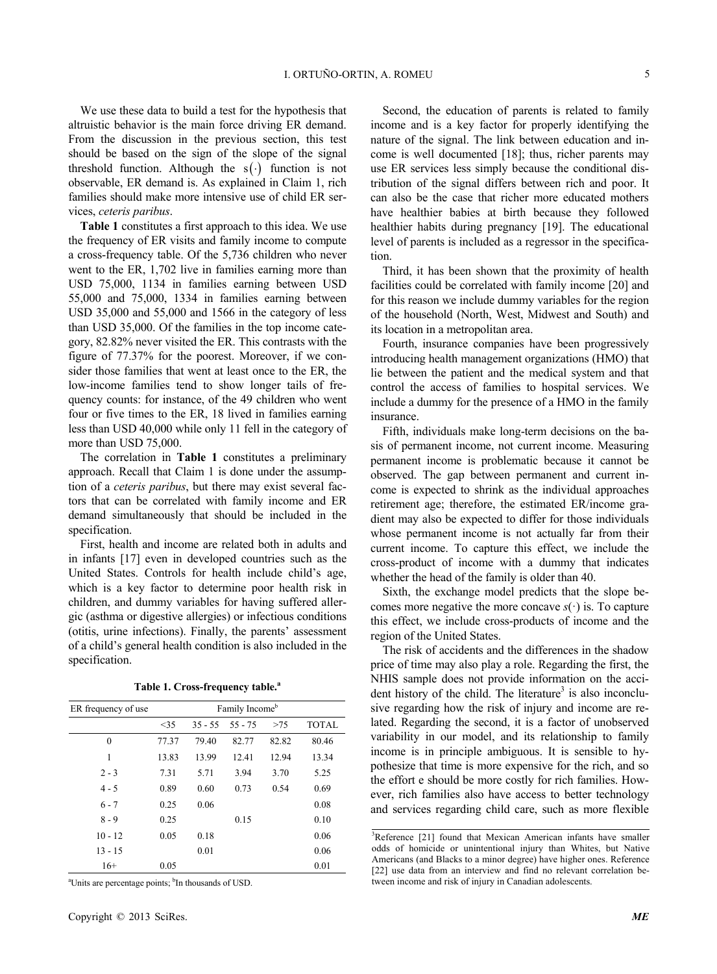We use these data to build a test for the hypothesis that altruistic behavior is the main force driving ER demand. From the discussion in the previous section, this test should be based on the sign of the slope of the signal threshold function. Although the  $s(\cdot)$  function is not observable, ER demand is. As explained in Claim 1, rich families should make more intensive use of child ER services, *ceteris paribus*.

**Table 1** constitutes a first approach to this idea. We use the frequency of ER visits and family income to compute a cross-frequency table. Of the 5,736 children who never went to the ER, 1,702 live in families earning more than USD 75,000, 1134 in families earning between USD 55,000 and 75,000, 1334 in families earning between USD 35,000 and 55,000 and 1566 in the category of less than USD 35,000. Of the families in the top income category, 82.82% never visited the ER. This contrasts with the figure of 77.37% for the poorest. Moreover, if we consider those families that went at least once to the ER, the low-income families tend to show longer tails of frequency counts: for instance, of the 49 children who went four or five times to the ER, 18 lived in families earning less than USD 40,000 while only 11 fell in the category of more than USD 75,000.

The correlation in **Table 1** constitutes a preliminary approach. Recall that Claim 1 is done under the assumption of a *ceteris paribus*, but there may exist several factors that can be correlated with family income and ER demand simultaneously that should be included in the specification.

First, health and income are related both in adults and in infants [17] even in developed countries such as the United States. Controls for health include child's age, which is a key factor to determine poor health risk in children, and dummy variables for having suffered allergic (asthma or digestive allergies) or infectious conditions (otitis, urine infections). Finally, the parents' assessment of a child's general health condition is also included in the specification.

|  |  | Table 1. Cross-frequency table. <sup>a</sup> |  |
|--|--|----------------------------------------------|--|
|--|--|----------------------------------------------|--|

| ER frequency of use | Family Income <sup>b</sup> |           |           |       |              |  |
|---------------------|----------------------------|-----------|-----------|-------|--------------|--|
|                     | $<$ 35                     | $35 - 55$ | $55 - 75$ | >75   | <b>TOTAL</b> |  |
| $\mathbf{0}$        | 77.37                      | 79.40     | 82.77     | 82.82 | 80.46        |  |
| 1                   | 13.83                      | 13.99     | 12.41     | 12.94 | 13.34        |  |
| $2 - 3$             | 7.31                       | 5.71      | 3.94      | 3.70  | 5.25         |  |
| $4 - 5$             | 0.89                       | 0.60      | 0.73      | 0.54  | 0.69         |  |
| $6 - 7$             | 0.25                       | 0.06      |           |       | 0.08         |  |
| $8 - 9$             | 0.25                       |           | 0.15      |       | 0.10         |  |
| $10 - 12$           | 0.05                       | 0.18      |           |       | 0.06         |  |
| $13 - 15$           |                            | 0.01      |           |       | 0.06         |  |
| $16+$               | 0.05                       |           |           |       | 0.01         |  |

<sup>a</sup>Units are percentage points; <sup>b</sup>In thousands of USD.

Second, the education of parents is related to family income and is a key factor for properly identifying the nature of the signal. The link between education and income is well documented [18]; thus, richer parents may use ER services less simply because the conditional distribution of the signal differs between rich and poor. It can also be the case that richer more educated mothers have healthier babies at birth because they followed healthier habits during pregnancy [19]. The educational level of parents is included as a regressor in the specification.

Third, it has been shown that the proximity of health facilities could be correlated with family income [20] and for this reason we include dummy variables for the region of the household (North, West, Midwest and South) and its location in a metropolitan area.

Fourth, insurance companies have been progressively introducing health management organizations (HMO) that lie between the patient and the medical system and that control the access of families to hospital services. We include a dummy for the presence of a HMO in the family insurance.

Fifth, individuals make long-term decisions on the basis of permanent income, not current income. Measuring permanent income is problematic because it cannot be observed. The gap between permanent and current income is expected to shrink as the individual approaches retirement age; therefore, the estimated ER/income gradient may also be expected to differ for those individuals whose permanent income is not actually far from their current income. To capture this effect, we include the cross-product of income with a dummy that indicates whether the head of the family is older than 40.

Sixth, the exchange model predicts that the slope becomes more negative the more concave  $s(\cdot)$  is. To capture this effect, we include cross-products of income and the region of the United States.

The risk of accidents and the differences in the shadow price of time may also play a role. Regarding the first, the NHIS sample does not provide information on the accident history of the child. The literature<sup>3</sup> is also inconclusive regarding how the risk of injury and income are related. Regarding the second, it is a factor of unobserved variability in our model, and its relationship to family income is in principle ambiguous. It is sensible to hypothesize that time is more expensive for the rich, and so the effort e should be more costly for rich families. However, rich families also have access to better technology and services regarding child care, such as more flexible

<sup>&</sup>lt;sup>3</sup>Reference [21] found that Mexican American infants have smaller odds of homicide or unintentional injury than Whites, but Native Americans (and Blacks to a minor degree) have higher ones. Reference [22] use data from an interview and find no relevant correlation between income and risk of injury in Canadian adolescents.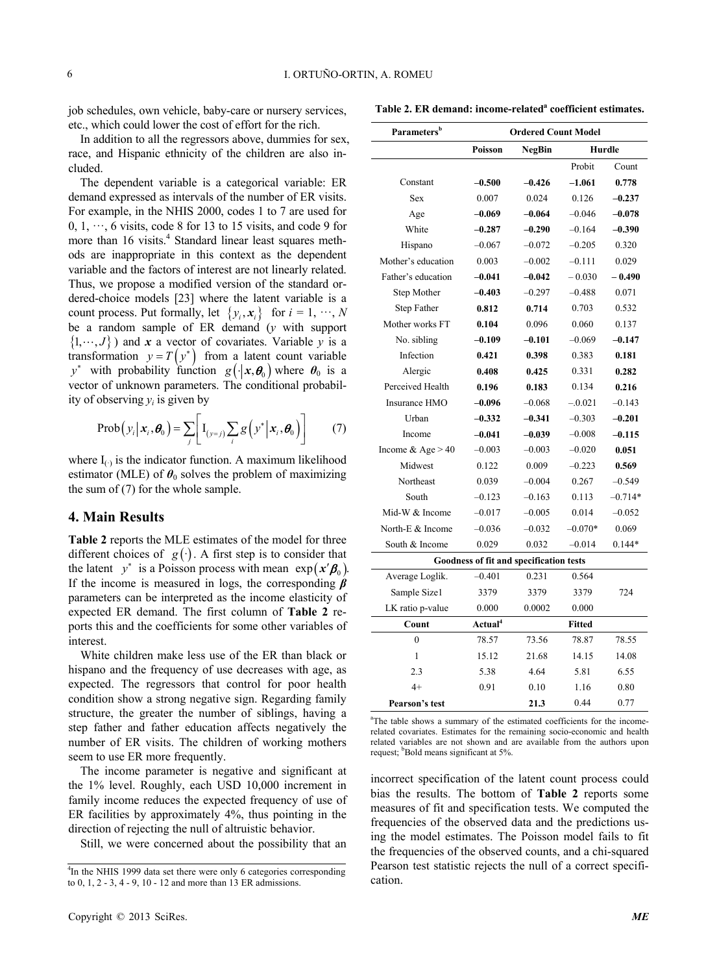job schedules, own vehicle, baby-care or nursery services, etc., which could lower the cost of effort for the rich.

Table 2. ER demand: income-related<sup>a</sup> coefficient estimates.

In addition to all the regressors above, dummies for sex, race, and Hispanic ethnicity of the children are also included.

The dependent variable is a categorical variable: ER demand expressed as intervals of the number of ER visits. For example, in the NHIS 2000, codes 1 to 7 are used for  $0, 1, \dots, 6$  visits, code 8 for 13 to 15 visits, and code 9 for more than 16 visits.<sup>4</sup> Standard linear least squares methods are inappropriate in this context as the dependent variable and the factors of interest are not linearly related. Thus, we propose a modified version of the standard ordered-choice models [23] where the latent variable is a count process. Put formally, let  $\{y_i, x_i\}$  for  $i = 1, \dots, N$ be a random sample of ER demand (*y* with support  $\{1, \dots, J\}$ ) and x a vector of covariates. Variable y is a transformation  $y = T(y^*)$  from a latent count variable *y*<sup>\*</sup> with probability function  $g(\cdot | x, \theta_0)$  where  $\theta_0$  is a vector of unknown parameters. The conditional probability of observing *yi* is given by

$$
\operatorname{Prob}\left(y_i \big| \mathbf{x}_i, \boldsymbol{\theta}_0\right) = \sum_j \bigg[ \mathbf{I}_{\left(y=j\right)} \sum_i g\left(y^* \big| \mathbf{x}_i, \boldsymbol{\theta}_0\right) \bigg] \tag{7}
$$

where  $I_{(·)}$  is the indicator function. A maximum likelihood estimator (MLE) of  $\theta_0$  solves the problem of maximizing the sum of (7) for the whole sample.

## **4. Main Results**

**Table 2** reports the MLE estimates of the model for three different choices of  $g(\cdot)$ . A first step is to consider that the latent  $y^*$  is a Poisson process with mean  $exp(x'\beta_0)$ . If the income is measured in logs, the corresponding *β* parameters can be interpreted as the income elasticity of expected ER demand. The first column of **Table 2** reports this and the coefficients for some other variables of interest.

White children make less use of the ER than black or hispano and the frequency of use decreases with age, as expected. The regressors that control for poor health condition show a strong negative sign. Regarding family structure, the greater the number of siblings, having a step father and father education affects negatively the number of ER visits. The children of working mothers seem to use ER more frequently.

The income parameter is negative and significant at the 1% level. Roughly, each USD 10,000 increment in family income reduces the expected frequency of use of ER facilities by approximately 4%, thus pointing in the direction of rejecting the null of altruistic behavior.

Still, we were concerned about the possibility that an

| Parameters <sup>b</sup>                 | <b>Ordered Count Model</b> |               |               |           |  |  |  |  |  |
|-----------------------------------------|----------------------------|---------------|---------------|-----------|--|--|--|--|--|
|                                         | <b>Poisson</b>             | <b>NegBin</b> | Hurdle        |           |  |  |  |  |  |
|                                         |                            |               | Probit        | Count     |  |  |  |  |  |
| Constant                                | $-0.500$                   | $-0.426$      | $-1.061$      | 0.778     |  |  |  |  |  |
| <b>Sex</b>                              | 0.007                      | 0.024         | 0.126         | $-0.237$  |  |  |  |  |  |
| Age                                     | $-0.069$                   | $-0.064$      | $-0.046$      | $-0.078$  |  |  |  |  |  |
| White                                   | $-0.287$                   | $-0.290$      | $-0.164$      | $-0.390$  |  |  |  |  |  |
| Hispano                                 | $-0.067$                   | $-0.072$      | $-0.205$      | 0.320     |  |  |  |  |  |
| Mother's education                      | 0.003                      | $-0.002$      | $-0.111$      | 0.029     |  |  |  |  |  |
| Father's education                      | $-0.041$                   | $-0.042$      | $-0.030$      | $-0.490$  |  |  |  |  |  |
| Step Mother                             | $-0.403$                   | $-0.297$      | $-0.488$      | 0.071     |  |  |  |  |  |
| <b>Step Father</b>                      | 0.812                      | 0.714         | 0.703         | 0.532     |  |  |  |  |  |
| Mother works FT                         | 0.104                      | 0.096         | 0.060         | 0.137     |  |  |  |  |  |
| No. sibling                             | $-0.109$                   | $-0.101$      | $-0.069$      | $-0.147$  |  |  |  |  |  |
| Infection                               | 0.421                      | 0.398         | 0.383         | 0.181     |  |  |  |  |  |
| Alergic                                 | 0.408                      | 0.425         | 0.331         | 0.282     |  |  |  |  |  |
| Perceived Health                        | 0.196                      | 0.183         | 0.134         | 0.216     |  |  |  |  |  |
| Insurance HMO                           | $-0.096$                   | $-0.068$      | $-.0.021$     | $-0.143$  |  |  |  |  |  |
| Urban                                   | $-0.332$                   | $-0.341$      | $-0.303$      | $-0.201$  |  |  |  |  |  |
| Income                                  | $-0.041$                   | $-0.039$      | $-0.008$      | $-0.115$  |  |  |  |  |  |
| Income & Age $> 40$                     | $-0.003$                   | $-0.003$      | $-0.020$      | 0.051     |  |  |  |  |  |
| Midwest                                 | 0.122                      | 0.009         | $-0.223$      | 0.569     |  |  |  |  |  |
| Northeast                               | 0.039                      | $-0.004$      | 0.267         | $-0.549$  |  |  |  |  |  |
| South                                   | $-0.123$                   | $-0.163$      | 0.113         | $-0.714*$ |  |  |  |  |  |
| Mid-W & Income                          | $-0.017$                   | $-0.005$      | 0.014         | $-0.052$  |  |  |  |  |  |
| North-E & Income                        | $-0.036$                   | $-0.032$      | $-0.070*$     | 0.069     |  |  |  |  |  |
| South & Income                          | 0.029                      | 0.032         | $-0.014$      | $0.144*$  |  |  |  |  |  |
| Goodness of fit and specification tests |                            |               |               |           |  |  |  |  |  |
| Average Loglik.                         | $-0.401$                   | 0.231         | 0.564         |           |  |  |  |  |  |
| Sample Size1                            | 3379                       | 3379          | 3379          | 724       |  |  |  |  |  |
| LK ratio p-value                        | 0.000                      | 0.0002        | 0.000         |           |  |  |  |  |  |
| Count                                   | Actual <sup>4</sup>        |               | <b>Fitted</b> |           |  |  |  |  |  |
| $\overline{0}$                          | 78.57                      | 73.56         | 78.87         | 78.55     |  |  |  |  |  |
| 1                                       | 15.12                      | 21.68         | 14.15         | 14.08     |  |  |  |  |  |
| 2.3                                     | 5.38                       | 4.64          | 5.81          | 6.55      |  |  |  |  |  |
| $4+$                                    | 0.91                       | 0.10          | 1.16          | 0.80      |  |  |  |  |  |
| Pearson's test                          |                            | 21.3          | 0.44          | 0.77      |  |  |  |  |  |

<sup>a</sup>The table shows a summary of the estimated coefficients for the incomerelated covariates. Estimates for the remaining socio-economic and health related variables are not shown and are available from the authors upon request; <sup>b</sup>Bold means significant at 5%.

incorrect specification of the latent count process could bias the results. The bottom of **Table 2** reports some measures of fit and specification tests. We computed the frequencies of the observed data and the predictions using the model estimates. The Poisson model fails to fit the frequencies of the observed counts, and a chi-squared Pearson test statistic rejects the null of a correct specification.

<sup>&</sup>lt;sup>4</sup>In the NHIS 1999 data set there were only 6 categories corresponding to 0, 1, 2 - 3, 4 - 9, 10 - 12 and more than 13 ER admissions.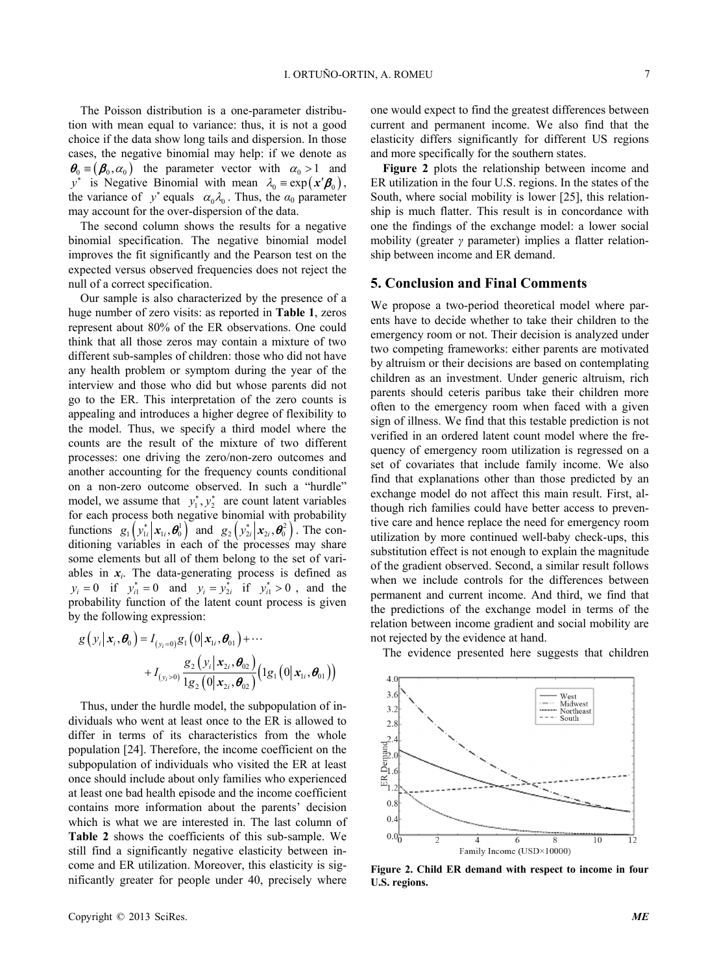The Poisson distribution is a one-parameter distribution with mean equal to variance: thus, it is not a good choice if the data show long tails and dispersion. In those cases, the negative binomial may help: if we denote as  $\theta_0 \equiv (\beta_0, \alpha_0)$  the parameter vector with  $\alpha_0 > 1$  and  $y^*$  is Negative Binomial with mean  $\lambda_0 = \exp(x' \beta_0)$ , the variance of  $y^*$  equals  $\alpha_0 \lambda_0$ . Thus, the  $\alpha_0$  parameter may account for the over-dispersion of the data.

The second column shows the results for a negative binomial specification. The negative binomial model improves the fit significantly and the Pearson test on the expected versus observed frequencies does not reject the null of a correct specification.

Our sample is also characterized by the presence of a huge number of zero visits: as reported in **Table 1**, zeros represent about 80% of the ER observations. One could think that all those zeros may contain a mixture of two different sub-samples of children: those who did not have any health problem or symptom during the year of the interview and those who did but whose parents did not go to the ER. This interpretation of the zero counts is appealing and introduces a higher degree of flexibility to the model. Thus, we specify a third model where the counts are the result of the mixture of two different processes: one driving the zero/non-zero outcomes and another accounting for the frequency counts conditional on a non-zero outcome observed. In such a "hurdle" model, we assume that  $y_1^*, y_2^*$  are count latent variables for each process both negative binomial with probability functions  $g_1(y_{1i}^* | x_{1i}, \theta_0^1)$  and  $g_2(y_{2i}^* | x_{2i}, \theta_0^2)$ . The conditioning variables in each of the processes may share some elements but all of them belong to the set of variables in  $x_i$ . The data-generating process is defined as  $y_i = 0$  if  $y_{i1}^* = 0$  and  $y_i = y_{2i}^*$  if  $y_{i1}^* > 0$ , and the probability function of the latent count process is given by the following expression:

$$
g(y_i|\mathbf{x}_i, \boldsymbol{\theta}_0) = I_{(y_i=0)}g_1(0|\mathbf{x}_{1i}, \boldsymbol{\theta}_{01}) + \cdots + I_{(y_i>0)} \frac{g_2(y_i|\mathbf{x}_{2i}, \boldsymbol{\theta}_{02})}{1g_2(0|\mathbf{x}_{2i}, \boldsymbol{\theta}_{02})} (1g_1(0|\mathbf{x}_{1i}, \boldsymbol{\theta}_{01}))
$$

Thus, under the hurdle model, the subpopulation of individuals who went at least once to the ER is allowed to differ in terms of its characteristics from the whole population [24]. Therefore, the income coefficient on the subpopulation of individuals who visited the ER at least once should include about only families who experienced at least one bad health episode and the income coefficient contains more information about the parents' decision which is what we are interested in. The last column of **Table 2** shows the coefficients of this sub-sample. We still find a significantly negative elasticity between income and ER utilization. Moreover, this elasticity is significantly greater for people under 40, precisely where

one would expect to find the greatest differences between current and permanent income. We also find that the elasticity differs significantly for different US regions and more specifically for the southern states.

**Figure 2** plots the relationship between income and ER utilization in the four U.S. regions. In the states of the South, where social mobility is lower [25], this relationship is much flatter. This result is in concordance with one the findings of the exchange model: a lower social mobility (greater *γ* parameter) implies a flatter relationship between income and ER demand.

## **5. Conclusion and Final Comments**

We propose a two-period theoretical model where parents have to decide whether to take their children to the emergency room or not. Their decision is analyzed under two competing frameworks: either parents are motivated by altruism or their decisions are based on contemplating children as an investment. Under generic altruism, rich parents should ceteris paribus take their children more often to the emergency room when faced with a given sign of illness. We find that this testable prediction is not verified in an ordered latent count model where the frequency of emergency room utilization is regressed on a set of covariates that include family income. We also find that explanations other than those predicted by an exchange model do not affect this main result. First, although rich families could have better access to preventive care and hence replace the need for emergency room utilization by more continued well-baby check-ups, this substitution effect is not enough to explain the magnitude of the gradient observed. Second, a similar result follows when we include controls for the differences between permanent and current income. And third, we find that the predictions of the exchange model in terms of the relation between income gradient and social mobility are not rejected by the evidence at hand.

The evidence presented here suggests that children



**Figure 2. Child ER demand with respect to income in four U.S. regions.**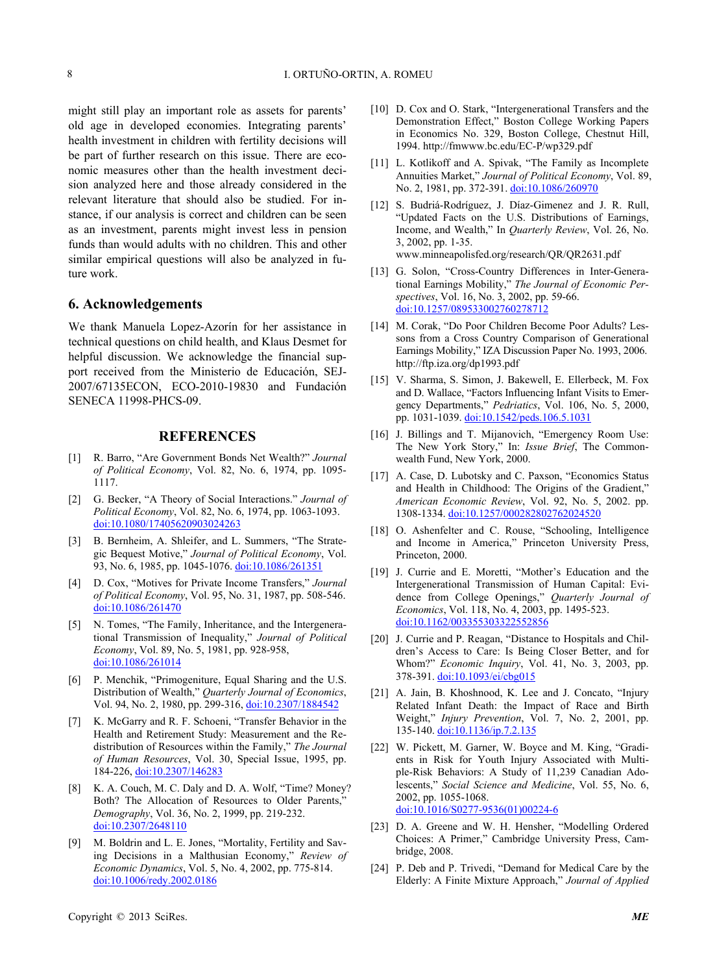might still play an important role as assets for parents' old age in developed economies. Integrating parents' health investment in children with fertility decisions will be part of further research on this issue. There are economic measures other than the health investment decision analyzed here and those already considered in the relevant literature that should also be studied. For instance, if our analysis is correct and children can be seen as an investment, parents might invest less in pension funds than would adults with no children. This and other similar empirical questions will also be analyzed in future work.

### **6. Acknowledgements**

We thank Manuela Lopez-Azorín for her assistance in technical questions on child health, and Klaus Desmet for helpful discussion. We acknowledge the financial support received from the Ministerio de Educación, SEJ-2007/67135ECON, ECO-2010-19830 and Fundación SENECA 11998-PHCS-09.

## **REFERENCES**

- [1] R. Barro, "Are Government Bonds Net Wealth?" *Journal of Political Economy*, Vol. 82, No. 6, 1974, pp. 1095- 1117.
- [2] G. Becker, "A Theory of Social Interactions." *Journal of Political Economy*, Vol. 82, No. 6, 1974, pp. 1063-1093. [doi:10.1080/17405620903024263](http://dx.doi.org/10.1080/17405620903024263)
- [3] B. Bernheim, A. Shleifer, and L. Summers, "The Strategic Bequest Motive," *Journal of Political Economy*, Vol. 93, No. 6, 1985, pp. 1045-1076. [doi:10.1086/261351](http://dx.doi.org/10.1086/261351)
- [4] D. Cox, "Motives for Private Income Transfers," *Journal of Political Economy*, Vol. 95, No. 31, 1987, pp. 508-546. [doi:10.1086/261470](http://dx.doi.org/10.1086/261470)
- [5] N. Tomes, "The Family, Inheritance, and the Intergenerational Transmission of Inequality," *Journal of Political Economy*, Vol. 89, No. 5, 1981, pp. 928-958, [doi:10.1086/261014](http://dx.doi.org/10.1086/261014)
- [6] P. Menchik, "Primogeniture, Equal Sharing and the U.S. Distribution of Wealth," *Quarterly Journal of Economics*, Vol. 94, No. 2, 1980, pp. 299-316, [doi:10.2307/1884542](http://dx.doi.org/10.2307/1884542)
- [7] K. McGarry and R. F. Schoeni, "Transfer Behavior in the Health and Retirement Study: Measurement and the Redistribution of Resources within the Family," *The Journal of Human Resources*, Vol. 30, Special Issue, 1995, pp. 184-226, [doi:10.2307/146283](http://dx.doi.org/10.2307/146283)
- [8] K. A. Couch, M. C. Daly and D. A. Wolf, "Time? Money? Both? The Allocation of Resources to Older Parents," *Demography*, Vol. 36, No. 2, 1999, pp. 219-232. [doi:10.2307/2648110](http://dx.doi.org/10.2307/2648110)
- [9] M. Boldrin and L. E. Jones, "Mortality, Fertility and Saving Decisions in a Malthusian Economy," *Review of Economic Dynamics*, Vol. 5, No. 4, 2002, pp. 775-814. [doi:10.1006/redy.2002.0186](http://dx.doi.org/10.1006/redy.2002.0186)
- [10] D. Cox and O. Stark, "Intergenerational Transfers and the Demonstration Effect," Boston College Working Papers in Economics No. 329, Boston College, Chestnut Hill, 1994. http://fmwww.bc.edu/EC-P/wp329.pdf
- [11] L. Kotlikoff and A. Spivak, "The Family as Incomplete Annuities Market," *Journal of Political Economy*, Vol. 89, No. 2, 1981, pp. 372-391. [doi:10.1086/260970](http://dx.doi.org/10.1086/260970)
- [12] S. Budriá-Rodríguez, J. Díaz-Gimenez and J. R. Rull, "Updated Facts on the U.S. Distributions of Earnings, Income, and Wealth," In *Quarterly Review*, Vol. 26, No. 3, 2002, pp. 1-35. www.minneapolisfed.org/research/QR/QR2631.pdf
- [13] G. Solon, "Cross-Country Differences in Inter-Generational Earnings Mobility," *The Journal of Economic Perspectives*, Vol. 16, No. 3, 2002, pp. 59-66. [doi:10.1257/089533002760278712](http://dx.doi.org/10.1257/089533002760278712)
- [14] M. Corak, "Do Poor Children Become Poor Adults? Lessons from a Cross Country Comparison of Generational Earnings Mobility," IZA Discussion Paper No. 1993, 2006. http://ftp.iza.org/dp1993.pdf
- [15] V. Sharma, S. Simon, J. Bakewell, E. Ellerbeck, M. Fox and D. Wallace, "Factors Influencing Infant Visits to Emergency Departments," *Pedriatics*, Vol. 106, No. 5, 2000, pp. 1031-1039. [doi:10.1542/peds.106.5.1031](http://dx.doi.org/10.1542/peds.106.5.1031)
- [16] J. Billings and T. Mijanovich, "Emergency Room Use: The New York Story," In: *Issue Brief*, The Commonwealth Fund, New York, 2000.
- [17] A. Case, D. Lubotsky and C. Paxson, "Economics Status and Health in Childhood: The Origins of the Gradient," *American Economic Review*, Vol. 92, No. 5, 2002. pp. 1308-1334. [doi:10.1257/000282802762024520](http://dx.doi.org/10.1257/000282802762024520)
- [18] O. Ashenfelter and C. Rouse, "Schooling, Intelligence and Income in America," Princeton University Press, Princeton, 2000.
- [19] J. Currie and E. Moretti, "Mother's Education and the Intergenerational Transmission of Human Capital: Evidence from College Openings," *Quarterly Journal of Economics*, Vol. 118, No. 4, 2003, pp. 1495-523. [doi:10.1162/003355303322552856](http://dx.doi.org/10.1162/003355303322552856)
- [20] J. Currie and P. Reagan, "Distance to Hospitals and Children's Access to Care: Is Being Closer Better, and for Whom?" *Economic Inquiry*, Vol. 41, No. 3, 2003, pp. 378-391. [doi:10.1093/ei/cbg015](http://dx.doi.org/10.1093/ei/cbg015)
- [21] A. Jain, B. Khoshnood, K. Lee and J. Concato, "Injury Related Infant Death: the Impact of Race and Birth Weight," *Injury Prevention*, Vol. 7, No. 2, 2001, pp. 135-140. [doi:10.1136/ip.7.2.135](http://dx.doi.org/10.1136/ip.7.2.135)
- [22] W. Pickett, M. Garner, W. Boyce and M. King, "Gradients in Risk for Youth Injury Associated with Multiple-Risk Behaviors: A Study of 11,239 Canadian Adolescents," *Social Science and Medicine*, Vol. 55, No. 6, 2002, pp. 1055-1068. [doi:10.1016/S0277-9536\(01\)00224-6](http://dx.doi.org/10.1016/S0277-9536(01)00224-6)
- [23] D. A. Greene and W. H. Hensher, "Modelling Ordered Choices: A Primer," Cambridge University Press, Cambridge, 2008.
- [24] P. Deb and P. Trivedi, "Demand for Medical Care by the Elderly: A Finite Mixture Approach," *Journal of Applied*